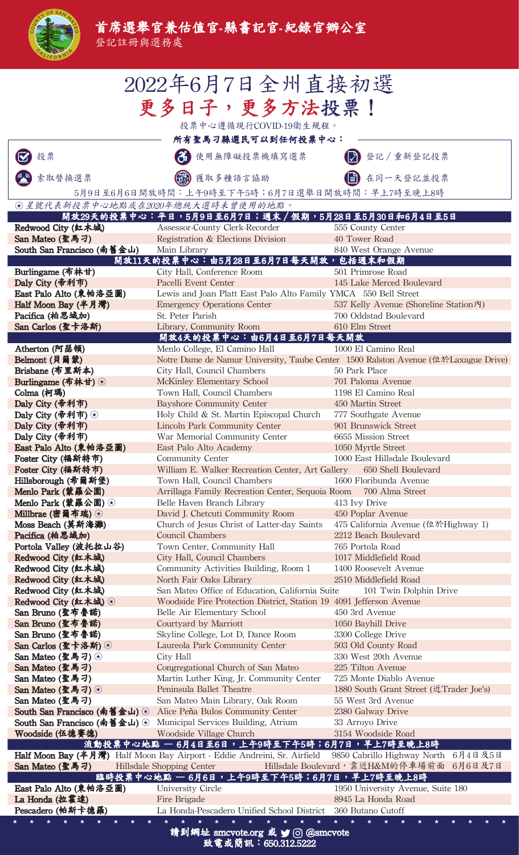|   | F SAN M  |
|---|----------|
| 5 | Ъ        |
|   | ALIFORNI |

登記註冊與選務處

| 2022年6月7日全州直接初選                                                                                                                                                                                          |                                                                                                                                                        |                                                                                    |  |  |
|----------------------------------------------------------------------------------------------------------------------------------------------------------------------------------------------------------|--------------------------------------------------------------------------------------------------------------------------------------------------------|------------------------------------------------------------------------------------|--|--|
| 更多日子,更多方法投票!                                                                                                                                                                                             |                                                                                                                                                        |                                                                                    |  |  |
| 投票中心遵循現行COVID-19衛生規程。                                                                                                                                                                                    |                                                                                                                                                        |                                                                                    |  |  |
| 所有聖馬刁縣選民可以到任何投票中心:                                                                                                                                                                                       |                                                                                                                                                        |                                                                                    |  |  |
| 投票                                                                                                                                                                                                       | 使用無障礙投票機填寫選票                                                                                                                                           | 登記 / 重新登記投票                                                                        |  |  |
| 索取替换選票                                                                                                                                                                                                   | 3) 獲取多種語言協助                                                                                                                                            | 在同一天登記並投票                                                                          |  |  |
|                                                                                                                                                                                                          | 5月9日至6月6日開放時間:上午9時至下午5時;6月7日選舉日開放時間:早上7時至晚上8時                                                                                                          |                                                                                    |  |  |
|                                                                                                                                                                                                          | ⊙星號代表新投票中心地點或在2020年總統大選時未曾使用的地點。<br>開放29天的投票中心:平日,5月9日至6月7日;週末/假期,5月28日至5月30日和6月4日至5日                                                                  |                                                                                    |  |  |
| Redwood City (紅木城)                                                                                                                                                                                       | Assessor-County Clerk-Recorder                                                                                                                         | 555 County Center                                                                  |  |  |
| San Mateo (聖馬刁)                                                                                                                                                                                          | Registration & Elections Division                                                                                                                      | 40 Tower Road                                                                      |  |  |
| South San Francisco (南舊金山)                                                                                                                                                                               | Main Library<br>開放11天的投票中心:由5月28日至6月7日每天開放,包括週末和假期                                                                                                     | 840 West Orange Avenue                                                             |  |  |
| Burlingame (布林甘)                                                                                                                                                                                         | City Hall, Conference Room                                                                                                                             | 501 Primrose Road                                                                  |  |  |
| Daly City (帝利市)                                                                                                                                                                                          | Pacelli Event Center                                                                                                                                   | 145 Lake Merced Boulevard                                                          |  |  |
| East Palo Alto (東帕洛亞圖)<br>Half Moon Bay (半月灣)                                                                                                                                                            | Lewis and Joan Platt East Palo Alto Family YMCA 550 Bell Street<br><b>Emergency Operations Center</b>                                                  | 537 Kelly Avenue (Shoreline Station內)                                              |  |  |
| Pacifica (柏思域加)                                                                                                                                                                                          | St. Peter Parish                                                                                                                                       | 700 Oddstad Boulevard                                                              |  |  |
| San Carlos (聖卡洛斯)                                                                                                                                                                                        | Library, Community Room                                                                                                                                | 610 Elm Street                                                                     |  |  |
| Atherton (阿瑟頓)                                                                                                                                                                                           | 開放4天的投票中心:由6月4日至6月7日每天開放<br>Menlo College, El Camino Hall                                                                                              | 1000 El Camino Real                                                                |  |  |
| Belmont (貝爾蒙)                                                                                                                                                                                            |                                                                                                                                                        | Notre Dame de Namur University, Taube Center 1500 Ralston Avenue (位於Laxague Drive) |  |  |
| Brisbane (布里斯本)                                                                                                                                                                                          | City Hall, Council Chambers                                                                                                                            | 50 Park Place                                                                      |  |  |
| Burlingame (布林甘) (*)<br>Colma (柯瑪)                                                                                                                                                                       | McKinley Elementary School<br>Town Hall, Council Chambers                                                                                              | 701 Paloma Avenue<br>1198 El Camino Real                                           |  |  |
| Daly City (帝利市)                                                                                                                                                                                          | <b>Bayshore Community Center</b>                                                                                                                       | 450 Martin Street                                                                  |  |  |
| Daly City (帝利市) $\circledast$                                                                                                                                                                            | Holy Child & St. Martin Episcopal Church                                                                                                               | 777 Southgate Avenue                                                               |  |  |
| Daly City (帝利市)                                                                                                                                                                                          | <b>Lincoln Park Community Center</b><br>War Memorial Community Center                                                                                  | 901 Brunswick Street<br>6655 Mission Street                                        |  |  |
| Daly City (帝利市)<br>East Palo Alto (東帕洛亞圖)                                                                                                                                                                | East Palo Alto Academy                                                                                                                                 | 1050 Myrtle Street                                                                 |  |  |
| Foster City (福斯特市)                                                                                                                                                                                       | Community Center                                                                                                                                       | 1000 East Hillsdale Boulevard                                                      |  |  |
| Foster City (福斯特市)                                                                                                                                                                                       | William E. Walker Recreation Center, Art Gallery                                                                                                       | 650 Shell Boulevard                                                                |  |  |
| Hillsborough (希爾斯堡)<br>Menlo Park (蒙羅公園)                                                                                                                                                                 | Town Hall, Council Chambers<br>Arrillaga Family Recreation Center, Sequoia Room                                                                        | 1600 Floribunda Avenue<br>700 Alma Street                                          |  |  |
| Menlo Park (蒙羅公園) $\odot$                                                                                                                                                                                | Belle Haven Branch Library                                                                                                                             | 413 Ivy Drive                                                                      |  |  |
| Millbrae (密爾布瑞) ⊙                                                                                                                                                                                        | David J. Chetcuti Community Room                                                                                                                       | 450 Poplar Avenue                                                                  |  |  |
| Moss Beach (莫斯海灘)<br>Pacifica (柏思域加)                                                                                                                                                                     | Church of Jesus Christ of Latter-day Saints<br><b>Council Chambers</b>                                                                                 | 475 California Avenue (位於Highway 1)<br>2212 Beach Boulevard                        |  |  |
| Portola Valley (波托拉山谷)                                                                                                                                                                                   | Town Center, Community Hall                                                                                                                            | 765 Portola Road                                                                   |  |  |
| Redwood City (紅木城)                                                                                                                                                                                       | City Hall, Council Chambers                                                                                                                            | 1017 Middlefield Road                                                              |  |  |
| Redwood City (紅木城)<br>Redwood City (紅木城)                                                                                                                                                                 | Community Activities Building, Room 1<br>North Fair Oaks Library                                                                                       | 1400 Roosevelt Avenue<br>2510 Middlefield Road                                     |  |  |
| Redwood City (紅木城)                                                                                                                                                                                       | San Mateo Office of Education, California Suite                                                                                                        | 101 Twin Dolphin Drive                                                             |  |  |
| Redwood City (紅木城) →                                                                                                                                                                                     | Woodside Fire Protection District, Station 19 4091 Jefferson Avenue                                                                                    |                                                                                    |  |  |
| San Bruno (聖布魯諾)<br>San Bruno (聖布魯諾)                                                                                                                                                                     | Belle Air Elementary School                                                                                                                            | 450 3rd Avenue                                                                     |  |  |
| San Bruno (聖布魯諾)                                                                                                                                                                                         | Courtyard by Marriott<br>Skyline College, Lot D, Dance Room                                                                                            | 1050 Bayhill Drive<br>3300 College Drive                                           |  |  |
| San Carlos (聖卡洛斯) (*)                                                                                                                                                                                    | Laureola Park Community Center                                                                                                                         | 503 Old County Road                                                                |  |  |
| San Mateo (聖馬刁) $\odot$                                                                                                                                                                                  | City Hall                                                                                                                                              | 330 West 20th Avenue                                                               |  |  |
| San Mateo (聖馬刁)<br>San Mateo (聖馬刁)                                                                                                                                                                       | Congregational Church of San Mateo<br>Martin Luther King, Jr. Community Center                                                                         | 225 Tilton Avenue<br>725 Monte Diablo Avenue                                       |  |  |
| San Mateo (聖馬刁) $\odot$                                                                                                                                                                                  | Peninsula Ballet Theatre                                                                                                                               | 1880 South Grant Street (近Trader Joe's)                                            |  |  |
| San Mateo (聖馬刁)                                                                                                                                                                                          | San Mateo Main Library, Oak Room                                                                                                                       | 55 West 3rd Avenue                                                                 |  |  |
|                                                                                                                                                                                                          | <b>South San Francisco (南舊金山)</b> ② Alice Peña Bulos Community Center<br><b>South San Francisco (南舊金山)</b> $\odot$ Municipal Services Building, Atrium | 2380 Galway Drive<br>33 Arroyo Drive                                               |  |  |
| Woodside (伍德賽德)                                                                                                                                                                                          | Woodside Village Church                                                                                                                                | 3154 Woodside Road                                                                 |  |  |
|                                                                                                                                                                                                          | 流動投票中心地點 — 6月4日至6日,上午9時至下午5時;6月7日,早上7時至晚上8時                                                                                                            |                                                                                    |  |  |
| Half Moon Bay (半月灣) Half Moon Bay Airport - Eddie Andreini, Sr. Airfield 9850 Cabrillo Highway North 6月4日及5日<br>Hillsdale Boulevard, 靠近H&M的停車場前面 6月6日及7日<br>San Mateo (聖馬刁)<br>Hillsdale Shopping Center |                                                                                                                                                        |                                                                                    |  |  |
|                                                                                                                                                                                                          | 臨時投票中心地點 — 6月6日,上午9時至下午5時;6月7日,早上7時至晚上8時                                                                                                               |                                                                                    |  |  |
| East Palo Alto (東帕洛亞圖)                                                                                                                                                                                   | University Circle                                                                                                                                      | 1950 University Avenue, Suite 180                                                  |  |  |
| La Honda (拉霍達)<br>Pescadero (帕斯卡德羅)                                                                                                                                                                      | Fire Brigade<br>La Honda-Pescadero Unified School District                                                                                             | 8945 La Honda Road<br>360 Butano Cutoff                                            |  |  |
|                                                                                                                                                                                                          |                                                                                                                                                        |                                                                                    |  |  |